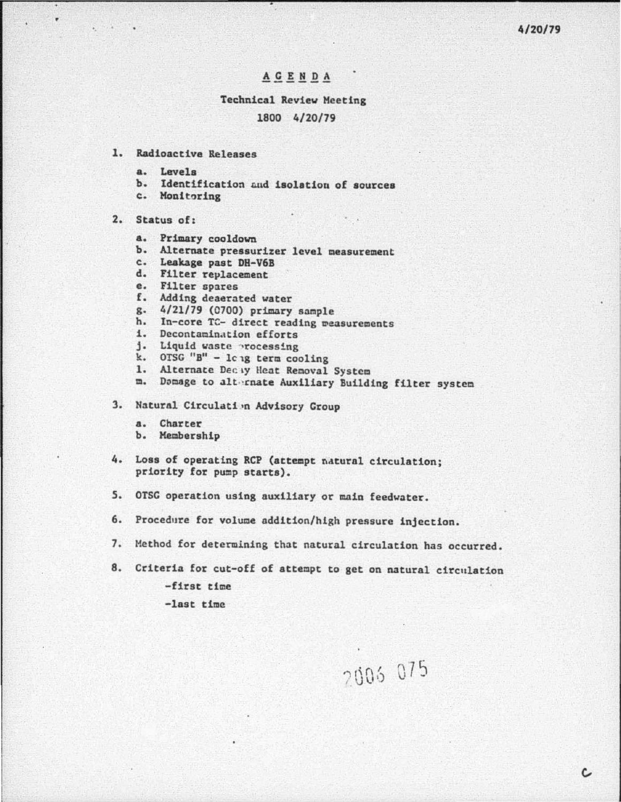C

## AGENDA

#### Technical Review Meeting

#### 1800 4/20/79

- 1. Radioactive Releases
	- a. Levels
	- b. Identification and isolation of sources
	- c. Monitoring

### 2. Status of:

- a. Primary cooldown
- b. Alternate pressurizer level measurement c. Leakage past DH-V6B
- 
- d. Filter revlacement
- e. Filter spares
- f. Adding deaerated water
- g. 4/21/79 (0700) primary sample
- h. In-core TC- direct reading measurements
- 1. Decontamination efforts
- j. Liquid waste processing
- k. OTSG "B" lc 1g term cooling
- 1. Alternate Decay Heat Removal System
- m. Domage to alternate Auxiliary Building filter system

3. Natural Circulati <sup>n</sup> Advisory Group

- a. Charter
- b. Membership
- 4. Loss of operating RCP (attempt ndtural circulation; priority for pump starts).
- 5. OTSC operation using auxiliary or main feedwater.
- 6. Procedure for volume addition/high pressure injection.
- 7. Method for determining that natural circulation has occurred.
- 8. Criteria for cut-off of attempt to get on natural circulation

2006 075

-first time -last time

l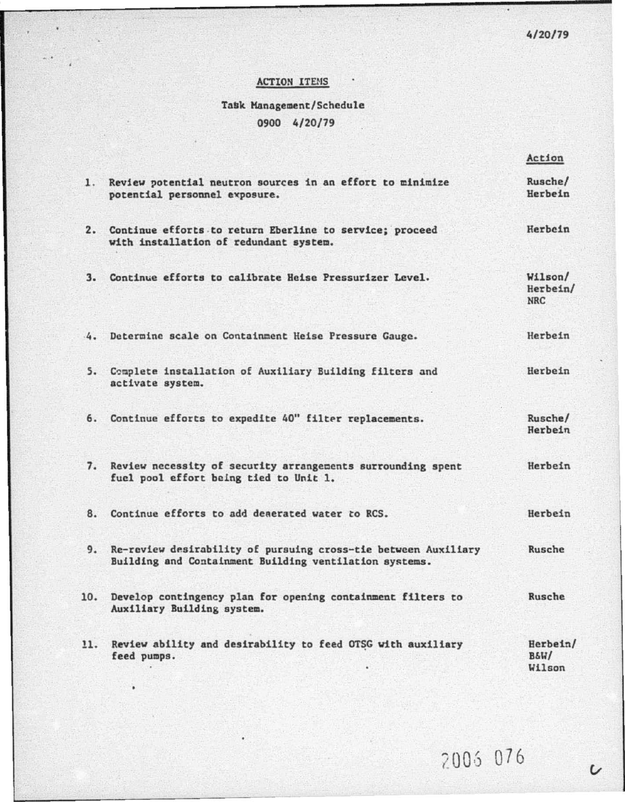# **ACTION ITEMS**

# Tatk Management/Schedule 0900 4/20/79

|     |                                                                                                                             | Action                            |
|-----|-----------------------------------------------------------------------------------------------------------------------------|-----------------------------------|
|     | 1. Review potential neutron sources in an effort to minimize<br>potential personnel exposure.                               | Rusche/<br>Herbein                |
|     | 2. Continue efforts to return Eberline to service; proceed<br>with installation of redundant system.                        | Herbein                           |
|     | 3. Continue efforts to calibrate Heise Pressurizer Level.                                                                   | Wilson/<br>Herbein/<br><b>NRC</b> |
| 4.  | Determine scale on Containment Heise Pressure Gauge.                                                                        | Herbein                           |
|     | 5. Complete installation of Auxiliary Building filters and<br>activate system.                                              | Herbein                           |
|     | 6. Continue efforts to expedite 40" filter replacements.                                                                    | Rusche/<br>Herbein                |
|     | 7. Review necessity of security arrangements surrounding spent<br>fuel pool effort being tied to Unit 1.                    | Herbein                           |
|     | 8. Continue efforts to add deserated water to RCS.                                                                          | Herbein                           |
|     | 9. Re-review desirability of pursuing cross-tie between Auxiliary<br>Building and Containment Building ventilation systems. | Rusche                            |
| 10. | Develop contingency plan for opening containment filters to<br>Auxiliary Building system.                                   | Rusche                            |
| 11. | Review ability and desirability to feed OTSG with auxiliary<br>feed pumps.                                                  | Herbein/<br>B&W/<br>Wilson        |
|     |                                                                                                                             |                                   |

?006 076